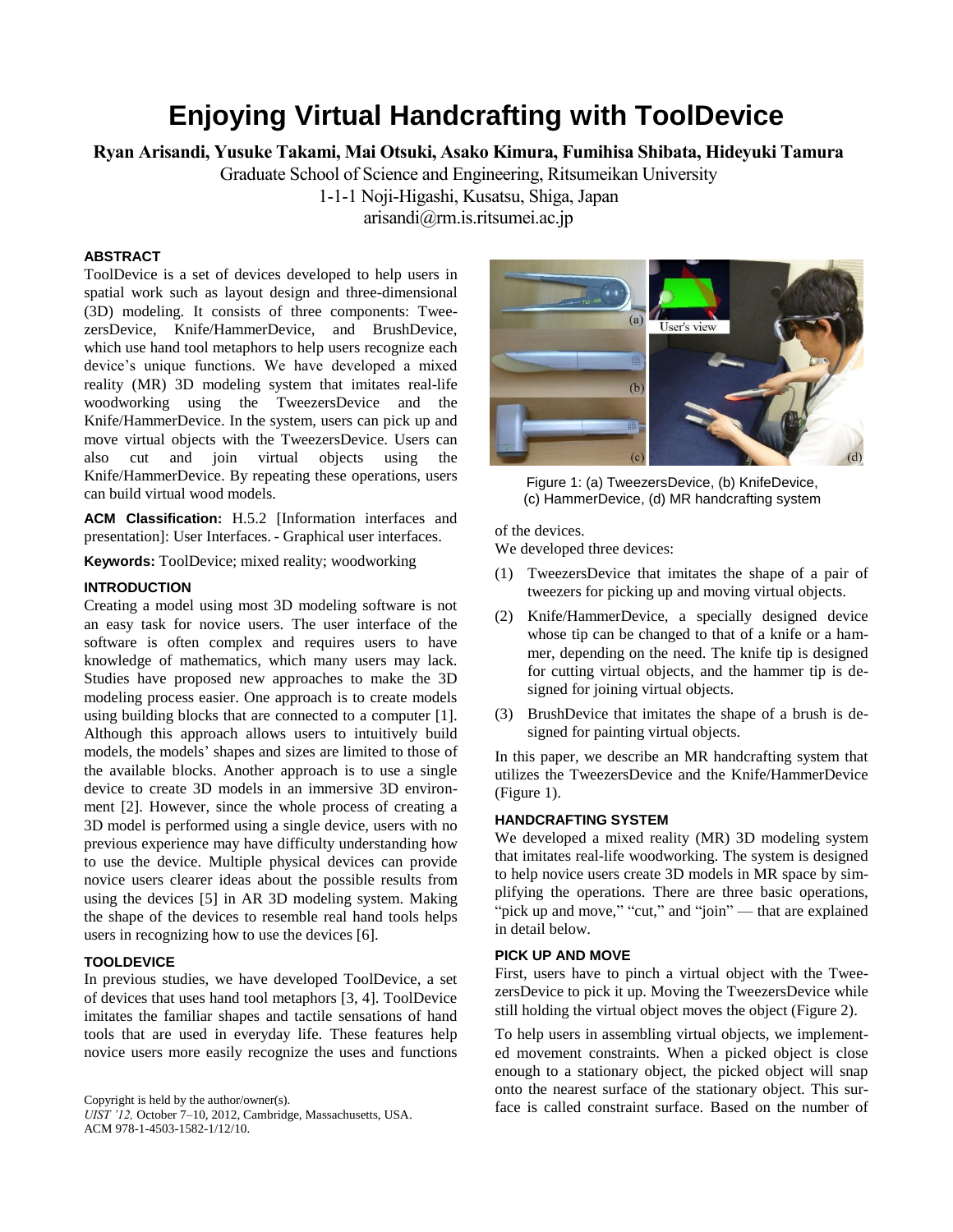# **Enjoying Virtual Handcrafting with ToolDevice**

**Ryan Arisandi, Yusuke Takami, Mai Otsuki, Asako Kimura, Fumihisa Shibata, Hideyuki Tamura**

Graduate School of Science and Engineering, Ritsumeikan University

1-1-1 Noji-Higashi, Kusatsu, Shiga, Japan

[arisandi@rm.is.ritsumei.ac.jp](mailto:arisandi@rm.is.ritsumei.ac.jp)

# **ABSTRACT**

ToolDevice is a set of devices developed to help users in spatial work such as layout design and three-dimensional (3D) modeling. It consists of three components: TweezersDevice, Knife/HammerDevice, and BrushDevice, which use hand tool metaphors to help users recognize each device's unique functions. We have developed a mixed reality (MR) 3D modeling system that imitates real-life woodworking using the TweezersDevice and the Knife/HammerDevice. In the system, users can pick up and move virtual objects with the TweezersDevice. Users can also cut and join virtual objects using the Knife/HammerDevice. By repeating these operations, users can build virtual wood models.

**ACM Classification:** H.5.2 [Information interfaces and presentation]: User Interfaces. - Graphical user interfaces.

**Keywords:** ToolDevice; mixed reality; woodworking

## **INTRODUCTION**

Creating a model using most 3D modeling software is not an easy task for novice users. The user interface of the software is often complex and requires users to have knowledge of mathematics, which many users may lack. Studies have proposed new approaches to make the 3D modeling process easier. One approach is to create models using building blocks that are connected to a computer [1]. Although this approach allows users to intuitively build models, the models' shapes and sizes are limited to those of the available blocks. Another approach is to use a single device to create 3D models in an immersive 3D environment [2]. However, since the whole process of creating a 3D model is performed using a single device, users with no previous experience may have difficulty understanding how to use the device. Multiple physical devices can provide novice users clearer ideas about the possible results from using the devices [5] in AR 3D modeling system. Making the shape of the devices to resemble real hand tools helps users in recognizing how to use the devices [6].

## **TOOLDEVICE**

In previous studies, we have developed ToolDevice, a set of devices that uses hand tool metaphors [3, 4]. ToolDevice imitates the familiar shapes and tactile sensations of hand tools that are used in everyday life. These features help novice users more easily recognize the uses and functions

```
Copyright is held by the author/owner(s).
```
*UIST '12,* October 7–10, 2012, Cambridge, Massachusetts, USA. ACM 978-1-4503-1582-1/12/10.



Figure 1: (a) TweezersDevice, (b) KnifeDevice, (c) HammerDevice, (d) MR handcrafting system

of the devices.

We developed three devices:

- (1) TweezersDevice that imitates the shape of a pair of tweezers for picking up and moving virtual objects.
- (2) Knife/HammerDevice, a specially designed device whose tip can be changed to that of a knife or a hammer, depending on the need. The knife tip is designed for cutting virtual objects, and the hammer tip is designed for joining virtual objects.
- (3) BrushDevice that imitates the shape of a brush is designed for painting virtual objects.

In this paper, we describe an MR handcrafting system that utilizes the TweezersDevice and the Knife/HammerDevice (Figure 1).

## **HANDCRAFTING SYSTEM**

We developed a mixed reality (MR) 3D modeling system that imitates real-life woodworking. The system is designed to help novice users create 3D models in MR space by simplifying the operations. There are three basic operations, "pick up and move," "cut," and "join" — that are explained in detail below.

## **PICK UP AND MOVE**

First, users have to pinch a virtual object with the TweezersDevice to pick it up. Moving the TweezersDevice while still holding the virtual object moves the object (Figure 2).

To help users in assembling virtual objects, we implemented movement constraints. When a picked object is close enough to a stationary object, the picked object will snap onto the nearest surface of the stationary object. This surface is called constraint surface. Based on the number of